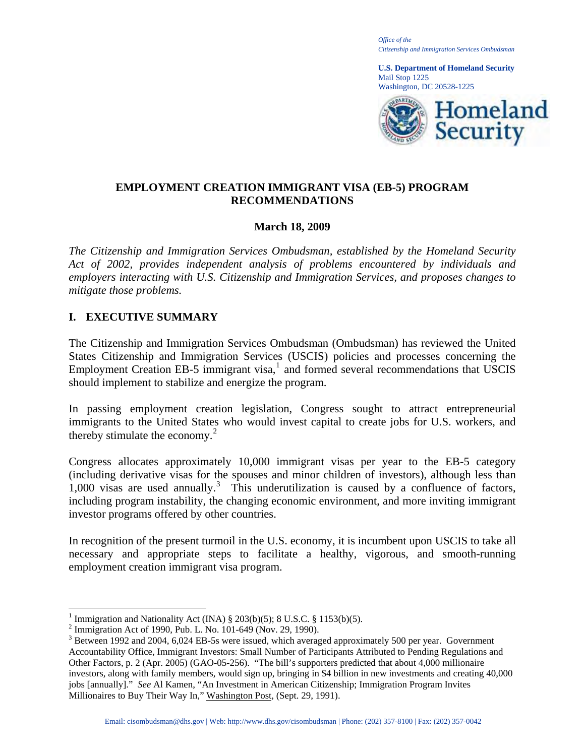*Office of the Citizenship and Immigration Services Ombudsman* 

**U.S. Department of Homeland Security**  Mail Stop 1225 Washington, DC 20528-1225



# **EMPLOYMENT CREATION IMMIGRANT VISA (EB-5) PROGRAM RECOMMENDATIONS**

## **March 18, 2009**

*The Citizenship and Immigration Services Ombudsman, established by the Homeland Security Act of 2002, provides independent analysis of problems encountered by individuals and employers interacting with U.S. Citizenship and Immigration Services, and proposes changes to mitigate those problems.* 

# **I. EXECUTIVE SUMMARY**

The Citizenship and Immigration Services Ombudsman (Ombudsman) has reviewed the United States Citizenship and Immigration Services (USCIS) policies and processes concerning the Employment Creation EB-5 immigrant visa, $<sup>1</sup>$  $<sup>1</sup>$  $<sup>1</sup>$  and formed several recommendations that USCIS</sup> should implement to stabilize and energize the program.

In passing employment creation legislation, Congress sought to attract entrepreneurial immigrants to the United States who would invest capital to create jobs for U.S. workers, and thereby stimulate the economy. $<sup>2</sup>$  $<sup>2</sup>$  $<sup>2</sup>$ </sup>

Congress allocates approximately 10,000 immigrant visas per year to the EB-5 category (including derivative visas for the spouses and minor children of investors), although less than  $1,000$  visas are used annually.<sup>[3](#page-0-2)</sup> This underutilization is caused by a confluence of factors, including program instability, the changing economic environment, and more inviting immigrant investor programs offered by other countries.

In recognition of the present turmoil in the U.S. economy, it is incumbent upon USCIS to take all necessary and appropriate steps to facilitate a healthy, vigorous, and smooth-running employment creation immigrant visa program.

<sup>&</sup>lt;sup>1</sup> Immigration and Nationality Act (INA) § 203(b)(5); 8 U.S.C. § 1153(b)(5).<br><sup>2</sup> Immigration Act of 1000 Pub J. No. 101.649 (Nov. 29, 1000).

<span id="page-0-1"></span><span id="page-0-0"></span><sup>&</sup>lt;sup>2</sup> Immigration Act of 1990, Pub. L. No. 101-649 (Nov. 29, 1990).

<span id="page-0-2"></span><sup>&</sup>lt;sup>3</sup> Between 1992 and 2004, 6,024 EB-5s were issued, which averaged approximately 500 per year. Government Accountability Office, Immigrant Investors: Small Number of Participants Attributed to Pending Regulations and Other Factors, p. 2 (Apr. 2005) (GAO-05-256). "The bill's supporters predicted that about 4,000 millionaire investors, along with family members, would sign up, bringing in \$4 billion in new investments and creating 40,000 jobs [annually]." *See* Al Kamen, "An Investment in American Citizenship; Immigration Program Invites Millionaires to Buy Their Way In," Washington Post, (Sept. 29, 1991).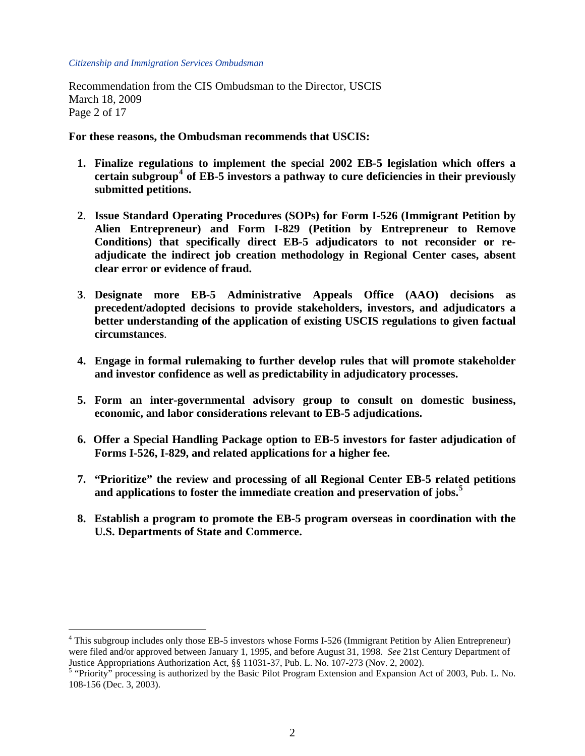$\overline{a}$ 

Recommendation from the CIS Ombudsman to the Director, USCIS March 18, 2009 Page 2 of 17

**For these reasons, the Ombudsman recommends that USCIS:** 

- **1. Finalize regulations to implement the special 2002 EB-5 legislation which offers a certain subgroup[4](#page-1-0) of EB-5 investors a pathway to cure deficiencies in their previously submitted petitions.**
- **2**. **Issue Standard Operating Procedures (SOPs) for Form I-526 (Immigrant Petition by Alien Entrepreneur) and Form I-829 (Petition by Entrepreneur to Remove Conditions) that specifically direct EB-5 adjudicators to not reconsider or readjudicate the indirect job creation methodology in Regional Center cases, absent clear error or evidence of fraud.**
- **3**. **Designate more EB-5 Administrative Appeals Office (AAO) decisions as precedent/adopted decisions to provide stakeholders, investors, and adjudicators a better understanding of the application of existing USCIS regulations to given factual circumstances**.
- **4. Engage in formal rulemaking to further develop rules that will promote stakeholder and investor confidence as well as predictability in adjudicatory processes.**
- **5. Form an inter-governmental advisory group to consult on domestic business, economic, and labor considerations relevant to EB-5 adjudications.**
- **6. Offer a Special Handling Package option to EB-5 investors for faster adjudication of Forms I-526, I-829, and related applications for a higher fee.**
- **7. "Prioritize" the review and processing of all Regional Center EB-5 related petitions and applications to foster the immediate creation and preservation of jobs.[5](#page-1-1)**
- **8. Establish a program to promote the EB-5 program overseas in coordination with the U.S. Departments of State and Commerce.**

<span id="page-1-0"></span><sup>&</sup>lt;sup>4</sup> This subgroup includes only those EB-5 investors whose Forms I-526 (Immigrant Petition by Alien Entrepreneur) were filed and/or approved between January 1, 1995, and before August 31, 1998. *See* 21st Century Department of Justice Appropriations Authorization Act, §§ 11031-37, Pub. L. No. 107-273 (Nov. 2, 2002).

<span id="page-1-1"></span><sup>&</sup>lt;sup>5</sup> "Priority" processing is authorized by the Basic Pilot Program Extension and Expansion Act of 2003, Pub. L. No. 108-156 (Dec. 3, 2003).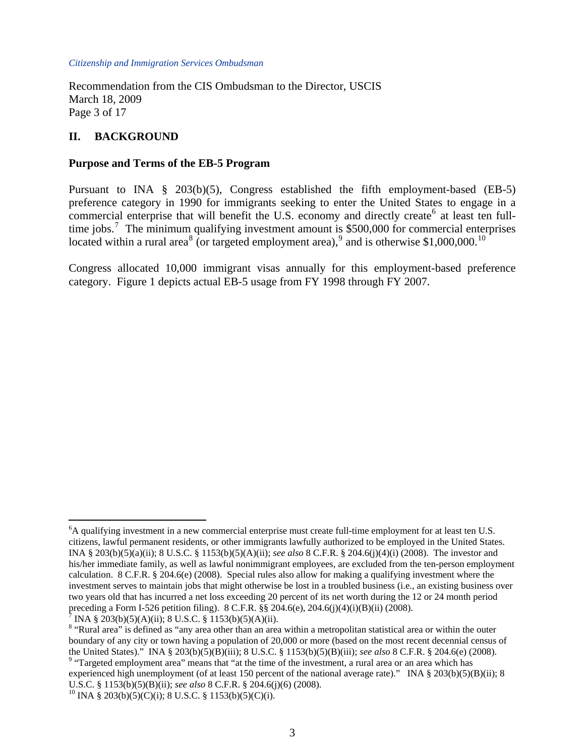Recommendation from the CIS Ombudsman to the Director, USCIS March 18, 2009 Page 3 of 17

# **II. BACKGROUND**

### **Purpose and Terms of the EB-5 Program**

Pursuant to INA § 203(b)(5), Congress established the fifth employment-based (EB-5) preference category in 1990 for immigrants seeking to enter the United States to engage in a commercial enterprise that will benefit the U.S. economy and directly create<sup>[6](#page-2-0)</sup> at least ten full-time jobs.<sup>[7](#page-2-1)</sup> The minimum qualifying investment amount is \$500,000 for commercial enterprises located within a rural area<sup>[8](#page-2-2)</sup> (or targeted employment area),<sup>[9](#page-2-3)</sup> and is otherwise \$1,000,000.<sup>[10](#page-2-4)</sup>

Congress allocated 10,000 immigrant visas annually for this employment-based preference category. Figure 1 depicts actual EB-5 usage from FY 1998 through FY 2007.

<span id="page-2-1"></span>INA § 203(b)(5)(A)(ii); 8 U.S.C. § 1153(b)(5)(A)(ii).

1

<span id="page-2-0"></span><sup>&</sup>lt;sup>6</sup>A qualifying investment in a new commercial enterprise must create full-time employment for at least ten U.S. citizens, lawful permanent residents, or other immigrants lawfully authorized to be employed in the United States. INA § 203(b)(5)(a)(ii); 8 U.S.C. § 1153(b)(5)(A)(ii); *see also* 8 C.F.R. § 204.6(j)(4)(i) (2008). The investor and his/her immediate family, as well as lawful nonimmigrant employees, are excluded from the ten-person employment calculation. 8 C.F.R. § 204.6(e) (2008). Special rules also allow for making a qualifying investment where the investment serves to maintain jobs that might otherwise be lost in a troubled business (i.e., an existing business over two years old that has incurred a net loss exceeding 20 percent of its net worth during the 12 or 24 month period preceding a Form I-526 petition filing). 8 C.F.R.  $\S$  204.6(e), 204.6(j)(4)(i)(B)(ii) (2008).

<span id="page-2-2"></span><sup>&</sup>lt;sup>8</sup> "Rural area" is defined as "any area other than an area within a metropolitan statistical area or within the outer boundary of any city or town having a population of 20,000 or more (based on the most recent decennial census of the United States)." INA § 203(b)(5)(B)(iii); 8 U.S.C. § 1153(b)(5)(B)(iii); *see also* 8 C.F.R. § 204.6(e) (2008). 9

<span id="page-2-3"></span><sup>&</sup>lt;sup>9</sup> "Targeted employment area" means that "at the time of the investment, a rural area or an area which has experienced high unemployment (of at least 150 percent of the national average rate)." INA § 203(b)(5)(B)(ii); 8 U.S.C. § 1153(b)(5)(B)(ii); *see also* 8 C.F.R. § 204.6(j)(6) (2008).

<span id="page-2-4"></span><sup>&</sup>lt;sup>10</sup> INA § 203(b)(5)(C)(i); 8 U.S.C. § 1153(b)(5)(C)(i).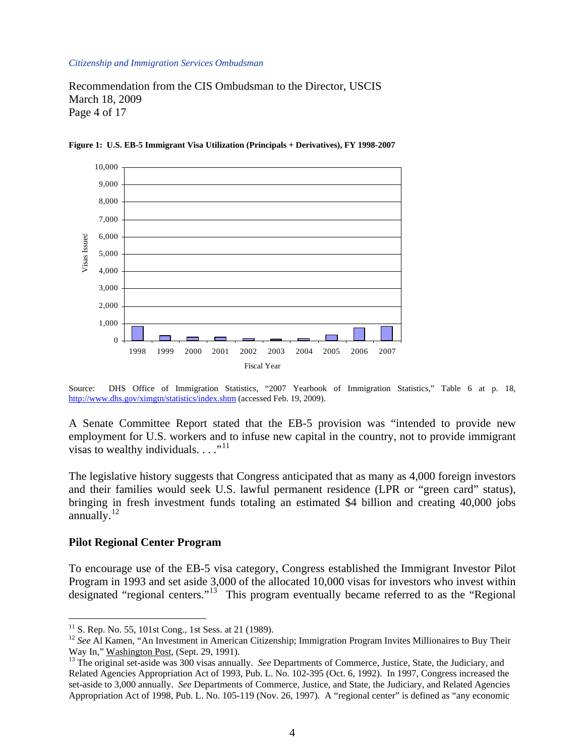Recommendation from the CIS Ombudsman to the Director, USCIS March 18, 2009 Page 4 of 17



**Figure 1: U.S. EB-5 Immigrant Visa Utilization (Principals + Derivatives), FY 1998-2007** 

Source: DHS Office of Immigration Statistics, "2007 Yearbook of Immigration Statistics," Table 6 at p. 18, <http://www.dhs.gov/ximgtn/statistics/index.shtm> (accessed Feb. 19, 2009).

A Senate Committee Report stated that the EB-5 provision was "intended to provide new employment for U.S. workers and to infuse new capital in the country, not to provide immigrant visas to wealthy individuals.  $\dots$ <sup>[11](#page-3-0)</sup>

The legislative history suggests that Congress anticipated that as many as 4,000 foreign investors and their families would seek U.S. lawful permanent residence (LPR or "green card" status), bringing in fresh investment funds totaling an estimated \$4 billion and creating 40,000 jobs annually. $^{12}$  $^{12}$  $^{12}$ 

#### **Pilot Regional Center Program**

 $\overline{a}$ 

To encourage use of the EB-5 visa category, Congress established the Immigrant Investor Pilot Program in 1993 and set aside 3,000 of the allocated 10,000 visas for investors who invest within designated "regional centers."[13](#page-3-2) This program eventually became referred to as the "Regional

<span id="page-3-0"></span> $11$  S. Rep. No. 55, 101st Cong., 1st Sess. at 21 (1989).

<span id="page-3-1"></span><sup>&</sup>lt;sup>12</sup> *See* Al Kamen, "An Investment in American Citizenship; Immigration Program Invites Millionaires to Buy Their Way In," Washington Post, (Sept. 29, 1991).

<span id="page-3-2"></span><sup>&</sup>lt;sup>13</sup> The original set-aside was 300 visas annually. *See* Departments of Commerce, Justice, State, the Judiciary, and Related Agencies Appropriation Act of 1993, Pub. L. No. 102-395 (Oct. 6, 1992). In 1997, Congress increased the set-aside to 3,000 annually. *See* Departments of Commerce, Justice, and State, the Judiciary, and Related Agencies Appropriation Act of 1998, Pub. L. No. 105-119 (Nov. 26, 1997). A "regional center" is defined as "any economic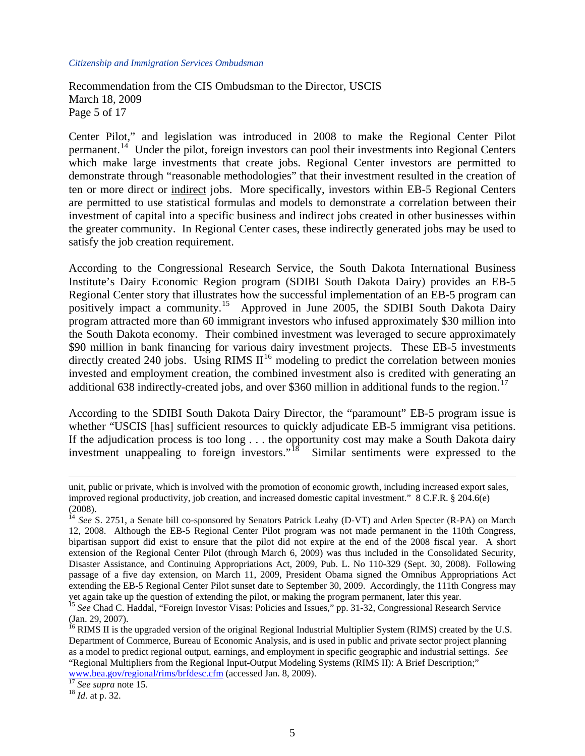Recommendation from the CIS Ombudsman to the Director, USCIS March 18, 2009 Page 5 of 17

Center Pilot," and legislation was introduced in 2008 to make the Regional Center Pilot permanent.<sup>[14](#page-4-0)</sup> Under the pilot, foreign investors can pool their investments into Regional Centers which make large investments that create jobs. Regional Center investors are permitted to demonstrate through "reasonable methodologies" that their investment resulted in the creation of ten or more direct or indirect jobs. More specifically, investors within EB-5 Regional Centers are permitted to use statistical formulas and models to demonstrate a correlation between their investment of capital into a specific business and indirect jobs created in other businesses within the greater community. In Regional Center cases, these indirectly generated jobs may be used to satisfy the job creation requirement.

According to the Congressional Research Service, the South Dakota International Business Institute's Dairy Economic Region program (SDIBI South Dakota Dairy) provides an EB-5 Regional Center story that illustrates how the successful implementation of an EB-5 program can positively impact a community.[15](#page-4-1) Approved in June 2005, the SDIBI South Dakota Dairy program attracted more than 60 immigrant investors who infused approximately \$30 million into the South Dakota economy. Their combined investment was leveraged to secure approximately \$90 million in bank financing for various dairy investment projects. These EB-5 investments directly created 240 jobs. Using RIMS  $II^{16}$  $II^{16}$  $II^{16}$  modeling to predict the correlation between monies invested and employment creation, the combined investment also is credited with generating an additional 638 indirectly-created jobs, and over \$360 million in additional funds to the region.<sup>[17](#page-4-3)</sup>

According to the SDIBI South Dakota Dairy Director, the "paramount" EB-5 program issue is whether "USCIS [has] sufficient resources to quickly adjudicate EB-5 immigrant visa petitions. If the adjudication process is too long . . . the opportunity cost may make a South Dakota dairy investment unappealing to foreign investors."<sup>[18](#page-4-4)</sup> Similar sentiments were expressed to the

unit, public or private, which is involved with the promotion of economic growth, including increased export sales, improved regional productivity, job creation, and increased domestic capital investment." 8 C.F.R. § 204.6(e) (2008).

<span id="page-4-0"></span><sup>&</sup>lt;sup>14</sup> *See* S. 2751, a Senate bill co-sponsored by Senators Patrick Leahy (D-VT) and Arlen Specter (R-PA) on March 12, 2008. Although the EB-5 Regional Center Pilot program was not made permanent in the 110th Congress, bipartisan support did exist to ensure that the pilot did not expire at the end of the 2008 fiscal year. A short extension of the Regional Center Pilot (through March 6, 2009) was thus included in the Consolidated Security, Disaster Assistance, and Continuing Appropriations Act, 2009, Pub. L. No 110-329 (Sept. 30, 2008). Following passage of a five day extension, on March 11, 2009, President Obama signed the Omnibus Appropriations Act extending the EB-5 Regional Center Pilot sunset date to September 30, 2009. Accordingly, the 111th Congress may yet again take up the question of extending the pilot, or making the program permanent, later this year.

<span id="page-4-1"></span><sup>&</sup>lt;sup>15</sup> See Chad C. Haddal, "Foreign Investor Visas: Policies and Issues," pp. 31-32, Congressional Research Service (Jan. 29, 2007).

<span id="page-4-2"></span> $16$  RIMS II is the upgraded version of the original Regional Industrial Multiplier System (RIMS) created by the U.S. Department of Commerce, Bureau of Economic Analysis, and is used in public and private sector project planning as a model to predict regional output, earnings, and employment in specific geographic and industrial settings. *See* "Regional Multipliers from the Regional Input-Output Modeling Systems (RIMS II): A Brief Description;" [www.bea.gov/regional/rims/brfdesc.cfm](http://www.bea.gov/regional/rims/brfdesc.cfm) (accessed Jan. 8, 2009). [17](http://www.bea.gov/regional/rims/brfdesc.cfm) *See supra* note 15. 18 *Id*. at p. 32.

<span id="page-4-3"></span>

<span id="page-4-4"></span>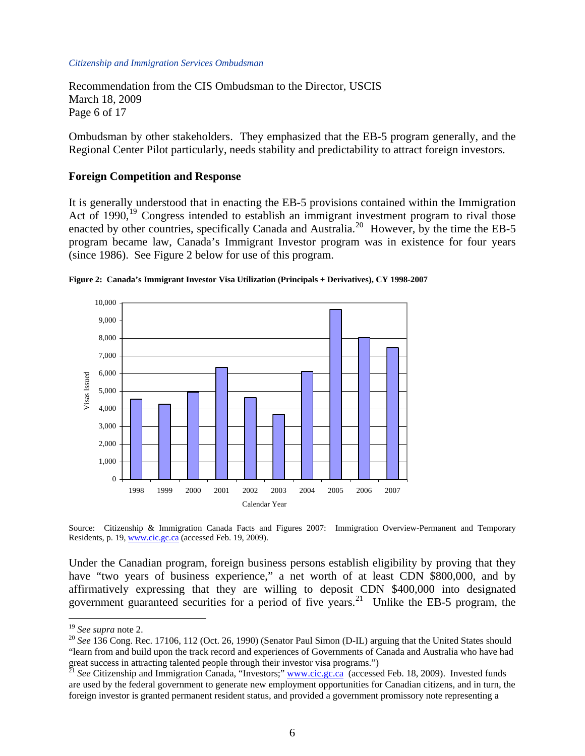Recommendation from the CIS Ombudsman to the Director, USCIS March 18, 2009 Page 6 of 17

Ombudsman by other stakeholders. They emphasized that the EB-5 program generally, and the Regional Center Pilot particularly, needs stability and predictability to attract foreign investors.

#### **Foreign Competition and Response**

It is generally understood that in enacting the EB-5 provisions contained within the Immigration Act of [19](#page-5-0)90,<sup>19</sup> Congress intended to establish an immigrant investment program to rival those enacted by other countries, specifically Canada and Australia.<sup>[20](#page-5-1)</sup> However, by the time the EB-5 program became law, Canada's Immigrant Investor program was in existence for four years (since 1986). See Figure 2 below for use of this program.





Source: Citizenship & Immigration Canada Facts and Figures 2007: Immigration Overview-Permanent and Temporary Residents, p. 19, [www.cic.gc.ca](http://www.cic.gc.ca/) (accessed Feb. 19, 2009).

Under the Canadian program, foreign business persons establish eligibility by proving that they have "two years of business experience," a net worth of at least CDN \$800,000, and by affirmatively expressing that they are willing to deposit CDN \$400,000 into designated government guaranteed securities for a period of five years.<sup>[21](#page-5-2)</sup> Unlike the EB-5 program, the

<span id="page-5-1"></span><span id="page-5-0"></span><sup>&</sup>lt;sup>19</sup> *See supra* note 2.<br><sup>20</sup> *See* 136 Cong. Rec. 17106, 112 (Oct. 26, 1990) (Senator Paul Simon (D-IL) arguing that the United States should "learn from and build upon the track record and experiences of Governments of Canada and Australia who have had great success in attracting talented people through their investor visa programs.")<br><sup>21</sup> *See* Citizenship and Immigration Canada, "Investors;" [www.cic.gc.ca](http://www.cic.gc.ca/) (accessed Feb. 18, 2009). Invested funds

<span id="page-5-2"></span>are used by the federal government to generate new employment opportunities for Canadian citizens, and in turn, the foreign investor is granted permanent resident status, and provided a government promissory note representing a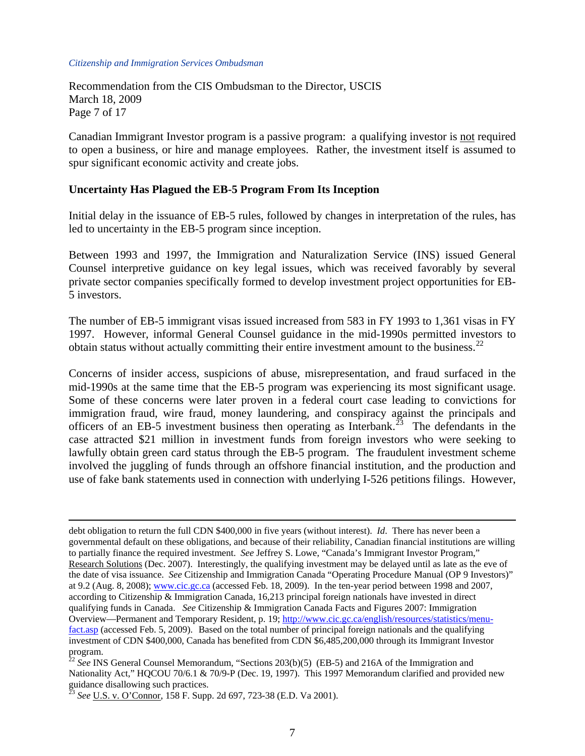Recommendation from the CIS Ombudsman to the Director, USCIS March 18, 2009 Page 7 of 17

Canadian Immigrant Investor program is a passive program: a qualifying investor is not required to open a business, or hire and manage employees. Rather, the investment itself is assumed to spur significant economic activity and create jobs.

#### **Uncertainty Has Plagued the EB-5 Program From Its Inception**

Initial delay in the issuance of EB-5 rules, followed by changes in interpretation of the rules, has led to uncertainty in the EB-5 program since inception.

Between 1993 and 1997, the Immigration and Naturalization Service (INS) issued General Counsel interpretive guidance on key legal issues, which was received favorably by several private sector companies specifically formed to develop investment project opportunities for EB-5 investors.

The number of EB-5 immigrant visas issued increased from 583 in FY 1993 to 1,361 visas in FY 1997. However, informal General Counsel guidance in the mid-1990s permitted investors to obtain status without actually committing their entire investment amount to the business.<sup>[22](#page-6-0)</sup>

Concerns of insider access, suspicions of abuse, misrepresentation, and fraud surfaced in the mid-1990s at the same time that the EB-5 program was experiencing its most significant usage. Some of these concerns were later proven in a federal court case leading to convictions for immigration fraud, wire fraud, money laundering, and conspiracy against the principals and officers of an EB-5 investment business then operating as Interbank.<sup>[23](#page-6-1)</sup> The defendants in the case attracted \$21 million in investment funds from foreign investors who were seeking to lawfully obtain green card status through the EB-5 program. The fraudulent investment scheme involved the juggling of funds through an offshore financial institution, and the production and use of fake bank statements used in connection with underlying I-526 petitions filings. However,

debt obligation to return the full CDN \$400,000 in five years (without interest). *Id*. There has never been a governmental default on these obligations, and because of their reliability, Canadian financial institutions are willing to partially finance the required investment. *See* Jeffrey S. Lowe, "Canada's Immigrant Investor Program," Research Solutions (Dec. 2007). Interestingly, the qualifying investment may be delayed until as late as the eve of the date of visa issuance. *See* Citizenship and Immigration Canada "Operating Procedure Manual (OP 9 Investors)" at 9.2 (Aug. 8, 2008); [www.cic.gc.ca](http://www.cic.gc.ca/) (accessed Feb. 18, 2009). In the ten-year period between 1998 and 2007, according to Citizenship & Immigration Canada, 16,213 principal foreign nationals have invested in direct qualifying funds in Canada. *See* Citizenship & Immigration Canada Facts and Figures 2007: Immigration Overview—Permanent and Temporary Resident, p. 19; [http://www.cic.gc.ca/english/resources/statistics/menu](http://www.cic.gc.ca/english/resources/statistics/menu-fact.asp)[fact.asp](http://www.cic.gc.ca/english/resources/statistics/menu-fact.asp) (accessed Feb. 5, 2009). Based on the total number of principal foreign nationals and the qualifying investment of CDN \$400,000, Canada has benefited from CDN \$6,485,200,000 through its Immigrant Investor program.

<span id="page-6-0"></span><sup>&</sup>lt;sup>22</sup> See INS General Counsel Memorandum, "Sections 203(b)(5) (EB-5) and 216A of the Immigration and Nationality Act," HQCOU 70/6.1 & 70/9-P (Dec. 19, 1997). This 1997 Memorandum clarified and provided new guidance disallowing such practices.

<span id="page-6-1"></span><sup>23</sup> *See* U.S. v. O'Connor, 158 F. Supp. 2d 697, 723-38 (E.D. Va 2001).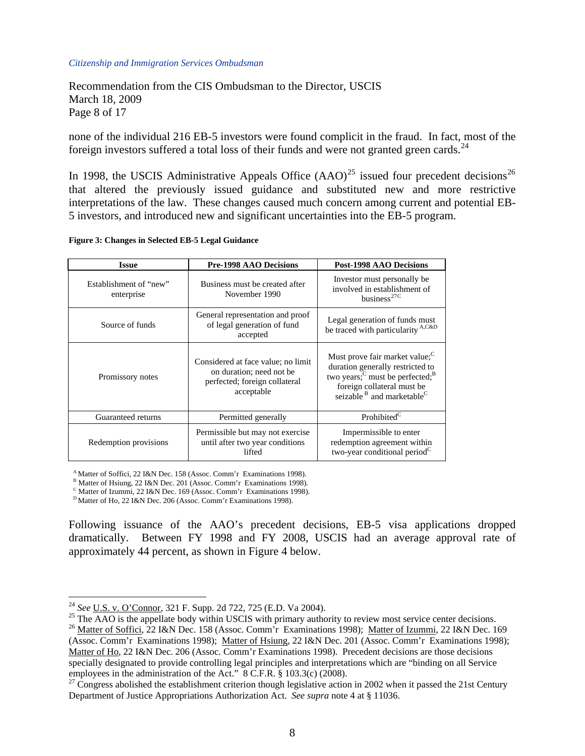Recommendation from the CIS Ombudsman to the Director, USCIS March 18, 2009 Page 8 of 17

none of the individual 216 EB-5 investors were found complicit in the fraud. In fact, most of the foreign investors suffered a total loss of their funds and were not granted green cards.<sup>[24](#page-7-0)</sup>

In 1998, the USCIS Administrative Appeals Office  $(AAO)^{25}$  $(AAO)^{25}$  $(AAO)^{25}$  issued four precedent decisions<sup>26</sup> that altered the previously issued guidance and substituted new and more restrictive interpretations of the law. These changes caused much concern among current and potential EB-5 investors, and introduced new and significant uncertainties into the EB-5 program.

|  |  |  | Figure 3: Changes in Selected EB-5 Legal Guidance |  |
|--|--|--|---------------------------------------------------|--|
|--|--|--|---------------------------------------------------|--|

| <b>Issue</b>                         | <b>Pre-1998 AAO Decisions</b>                                                                                 | <b>Post-1998 AAO Decisions</b>                                                                                                                                                                                     |  |
|--------------------------------------|---------------------------------------------------------------------------------------------------------------|--------------------------------------------------------------------------------------------------------------------------------------------------------------------------------------------------------------------|--|
| Establishment of "new"<br>enterprise | Business must be created after<br>November 1990                                                               | Investor must personally be.<br>involved in establishment of<br>business <sup>27C</sup>                                                                                                                            |  |
| Source of funds                      | General representation and proof<br>of legal generation of fund<br>accepted                                   | Legal generation of funds must<br>be traced with particularity A,C&D                                                                                                                                               |  |
| Promissory notes                     | Considered at face value; no limit<br>on duration; need not be<br>perfected; foreign collateral<br>acceptable | Must prove fair market value; <sup>C</sup><br>duration generally restricted to<br>two years; $\rm^C$ must be perfected; $\rm^B$<br>foreign collateral must be<br>seizable <sup>B</sup> and marketable <sup>C</sup> |  |
| Guaranteed returns                   | Permitted generally                                                                                           | Prohibited <sup>C</sup>                                                                                                                                                                                            |  |
| Redemption provisions                | Permissible but may not exercise<br>until after two year conditions<br>lifted                                 | Impermissible to enter<br>redemption agreement within<br>two-year conditional period <sup>C</sup>                                                                                                                  |  |

A Matter of Soffici, 22 I&N Dec. 158 (Assoc. Comm'r Examinations 1998).

<sup>B</sup> Matter of Hsiung, 22 I&N Dec. 201 (Assoc. Comm'r Examinations 1998).

<sup>C</sup> Matter of Izummi, 22 I&N Dec. 169 (Assoc. Comm'r Examinations 1998).

D Matter of Ho, 22 I&N Dec. 206 (Assoc. Comm'r Examinations 1998).

Following issuance of the AAO's precedent decisions, EB-5 visa applications dropped dramatically. Between FY 1998 and FY 2008, USCIS had an average approval rate of approximately 44 percent, as shown in Figure 4 below.

<span id="page-7-0"></span><sup>&</sup>lt;sup>24</sup> See U.S. v. O'Connor, 321 F. Supp. 2d 722, 725 (E.D. Va 2004).

<span id="page-7-1"></span><sup>&</sup>lt;sup>25</sup> The  $\overline{AAO}$  is the appellate body within USCIS with primary authority to review most service center decisions.<br><sup>26</sup> Matter of Soffici, 22 I&N Dec. 158 (Assoc. Comm'r Examinations 1998); <u>Matter of Izummi</u>, 22 I&N D

<span id="page-7-2"></span><sup>(</sup>Assoc. Comm'r Examinations 1998); Matter of Hsiung, 22 I&N Dec. 201 (Assoc. Comm'r Examinations 1998); Matter of Ho, 22 I&N Dec. 206 (Assoc. Comm'r Examinations 1998). Precedent decisions are those decisions specially designated to provide controlling legal principles and interpretations which are "binding on all Service employees in the administration of the Act." 8 C.F.R. § 103.3(c) (2008).

<span id="page-7-3"></span><sup>&</sup>lt;sup>27</sup> Congress abolished the establishment criterion though legislative action in 2002 when it passed the 21st Century Department of Justice Appropriations Authorization Act. *See supra* note 4 at § 11036.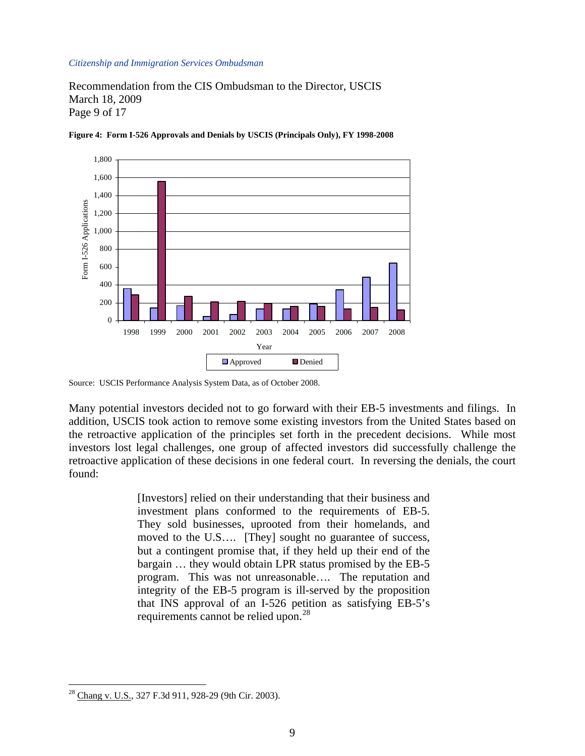Recommendation from the CIS Ombudsman to the Director, USCIS March 18, 2009 Page 9 of 17



**Figure 4: Form I-526 Approvals and Denials by USCIS (Principals Only), FY 1998-2008** 

Many potential investors decided not to go forward with their EB-5 investments and filings. In addition, USCIS took action to remove some existing investors from the United States based on the retroactive application of the principles set forth in the precedent decisions. While most investors lost legal challenges, one group of affected investors did successfully challenge the retroactive application of these decisions in one federal court. In reversing the denials, the court found:

> [Investors] relied on their understanding that their business and investment plans conformed to the requirements of EB-5. They sold businesses, uprooted from their homelands, and moved to the U.S…. [They] sought no guarantee of success, but a contingent promise that, if they held up their end of the bargain … they would obtain LPR status promised by the EB-5 program. This was not unreasonable…. The reputation and integrity of the EB-5 program is ill-served by the proposition that INS approval of an I-526 petition as satisfying EB-5's requirements cannot be relied upon.<sup>[28](#page-8-0)</sup>

Source: USCIS Performance Analysis System Data, as of October 2008.

<span id="page-8-0"></span> $\overline{a}$ <sup>28</sup> Chang v. U.S., 327 F.3d 911, 928-29 (9th Cir. 2003).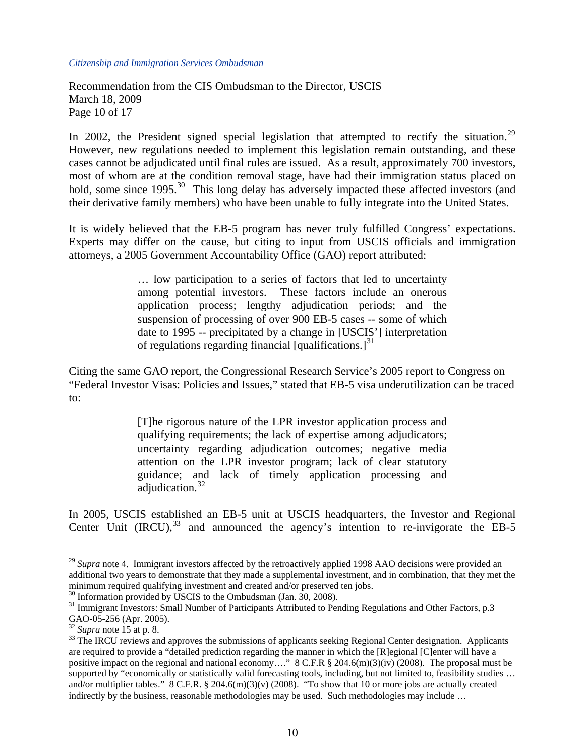Recommendation from the CIS Ombudsman to the Director, USCIS March 18, 2009 Page 10 of 17

In 2002, the President signed special legislation that attempted to rectify the situation.<sup>[29](#page-9-0)</sup> However, new regulations needed to implement this legislation remain outstanding, and these cases cannot be adjudicated until final rules are issued. As a result, approximately 700 investors, most of whom are at the condition removal stage, have had their immigration status placed on hold, some since 1995.<sup>[30](#page-9-1)</sup> This long delay has adversely impacted these affected investors (and their derivative family members) who have been unable to fully integrate into the United States.

It is widely believed that the EB-5 program has never truly fulfilled Congress' expectations. Experts may differ on the cause, but citing to input from USCIS officials and immigration attorneys, a 2005 Government Accountability Office (GAO) report attributed:

> … low participation to a series of factors that led to uncertainty among potential investors. These factors include an onerous application process; lengthy adjudication periods; and the suspension of processing of over 900 EB-5 cases -- some of which date to 1995 -- precipitated by a change in [USCIS'] interpretation of regulations regarding financial [qualifications.] $31$

Citing the same GAO report, the Congressional Research Service's 2005 report to Congress on "Federal Investor Visas: Policies and Issues," stated that EB-5 visa underutilization can be traced to:

> [T]he rigorous nature of the LPR investor application process and qualifying requirements; the lack of expertise among adjudicators; uncertainty regarding adjudication outcomes; negative media attention on the LPR investor program; lack of clear statutory guidance; and lack of timely application processing and adjudication.<sup>[32](#page-9-3)</sup>

In 2005, USCIS established an EB-5 unit at USCIS headquarters, the Investor and Regional Center Unit  $(IRCU)$ ,  $33$  and announced the agency's intention to re-invigorate the EB-5

<span id="page-9-0"></span><sup>&</sup>lt;sup>29</sup> *Supra* note 4. Immigrant investors affected by the retroactively applied 1998 AAO decisions were provided an additional two years to demonstrate that they made a supplemental investment, and in combination, that they met the minimum required qualifying investment and created and/or preserved ten jobs.

<sup>&</sup>lt;sup>30</sup> Information provided by USCIS to the Ombudsman (Jan. 30, 2008).

<span id="page-9-2"></span><span id="page-9-1"></span><sup>&</sup>lt;sup>31</sup> Immigrant Investors: Small Number of Participants Attributed to Pending Regulations and Other Factors, p.3 GAO-05-256 (Apr. 2005).<br><sup>32</sup> Supra note 15 at p. 8.

<span id="page-9-4"></span><span id="page-9-3"></span><sup>&</sup>lt;sup>33</sup> The IRCU reviews and approves the submissions of applicants seeking Regional Center designation. Applicants are required to provide a "detailed prediction regarding the manner in which the [R]egional [C]enter will have a positive impact on the regional and national economy...." 8 C.F.R § 204.6(m)(3)(iv) (2008). The proposal must be supported by "economically or statistically valid forecasting tools, including, but not limited to, feasibility studies ... and/or multiplier tables."  $8 \text{ C.F.R. } \frac{8}{204.6}$ (m)(3)(v) (2008). "To show that 10 or more jobs are actually created indirectly by the business, reasonable methodologies may be used. Such methodologies may include ...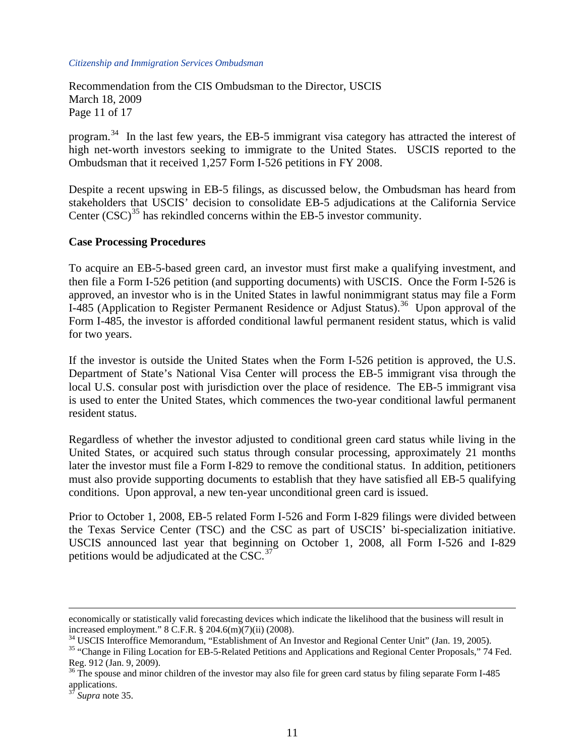Recommendation from the CIS Ombudsman to the Director, USCIS March 18, 2009 Page 11 of 17

program.[34](#page-10-0) In the last few years, the EB-5 immigrant visa category has attracted the interest of high net-worth investors seeking to immigrate to the United States. USCIS reported to the Ombudsman that it received 1,257 Form I-526 petitions in FY 2008.

Despite a recent upswing in EB-5 filings, as discussed below, the Ombudsman has heard from stakeholders that USCIS' decision to consolidate EB-5 adjudications at the California Service Center  $(CSC)^{35}$  $(CSC)^{35}$  $(CSC)^{35}$  has rekindled concerns within the EB-5 investor community.

#### **Case Processing Procedures**

To acquire an EB-5-based green card, an investor must first make a qualifying investment, and then file a Form I-526 petition (and supporting documents) with USCIS. Once the Form I-526 is approved, an investor who is in the United States in lawful nonimmigrant status may file a Form I-485 (Application to Register Permanent Residence or Adjust Status).<sup>[36](#page-10-2)</sup> Upon approval of the Form I-485, the investor is afforded conditional lawful permanent resident status, which is valid for two years.

If the investor is outside the United States when the Form I-526 petition is approved, the U.S. Department of State's National Visa Center will process the EB-5 immigrant visa through the local U.S. consular post with jurisdiction over the place of residence. The EB-5 immigrant visa is used to enter the United States, which commences the two-year conditional lawful permanent resident status.

Regardless of whether the investor adjusted to conditional green card status while living in the United States, or acquired such status through consular processing, approximately 21 months later the investor must file a Form I-829 to remove the conditional status. In addition, petitioners must also provide supporting documents to establish that they have satisfied all EB-5 qualifying conditions. Upon approval, a new ten-year unconditional green card is issued.

Prior to October 1, 2008, EB-5 related Form I-526 and Form I-829 filings were divided between the Texas Service Center (TSC) and the CSC as part of USCIS' bi-specialization initiative. USCIS announced last year that beginning on October 1, 2008, all Form I-526 and I-829 petitions would be adjudicated at the CSC. $37$ 

economically or statistically valid forecasting devices which indicate the likelihood that the business will result in increased employment." 8 C.F.R. § 204.6(m)(7)(ii) (2008).

<span id="page-10-0"></span><sup>&</sup>lt;sup>34</sup> USCIS Interoffice Memorandum, "Establishment of An Investor and Regional Center Unit" (Jan. 19, 2005).

<span id="page-10-1"></span><sup>&</sup>lt;sup>35</sup> "Change in Filing Location for EB-5-Related Petitions and Applications and Regional Center Proposals," 74 Fed. Reg. 912 (Jan. 9, 2009).

<span id="page-10-2"></span> $36$  The spouse and minor children of the investor may also file for green card status by filing separate Form I-485 applications.

<span id="page-10-3"></span>Supra note 35.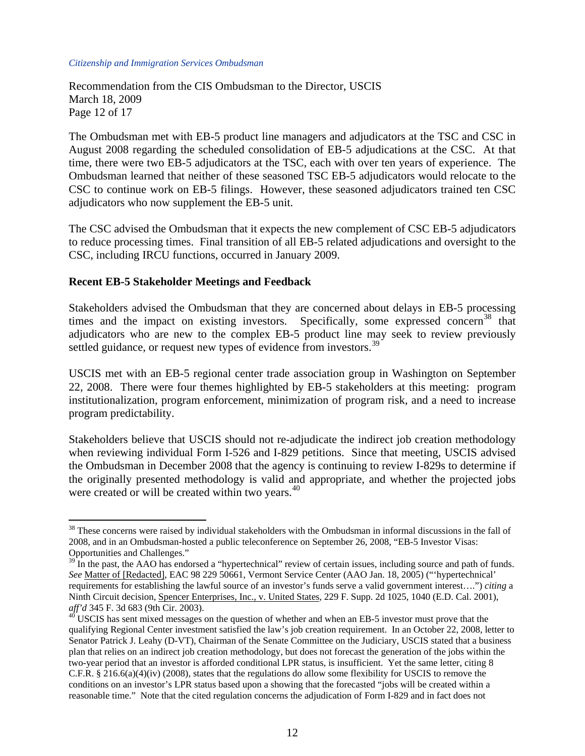Recommendation from the CIS Ombudsman to the Director, USCIS March 18, 2009 Page 12 of 17

The Ombudsman met with EB-5 product line managers and adjudicators at the TSC and CSC in August 2008 regarding the scheduled consolidation of EB-5 adjudications at the CSC. At that time, there were two EB-5 adjudicators at the TSC, each with over ten years of experience. The Ombudsman learned that neither of these seasoned TSC EB-5 adjudicators would relocate to the CSC to continue work on EB-5 filings. However, these seasoned adjudicators trained ten CSC adjudicators who now supplement the EB-5 unit.

The CSC advised the Ombudsman that it expects the new complement of CSC EB-5 adjudicators to reduce processing times. Final transition of all EB-5 related adjudications and oversight to the CSC, including IRCU functions, occurred in January 2009.

## **Recent EB-5 Stakeholder Meetings and Feedback**

 $\overline{a}$ 

Stakeholders advised the Ombudsman that they are concerned about delays in EB-5 processing times and the impact on existing investors. Specifically, some expressed concern<sup>[38](#page-11-0)</sup> that adjudicators who are new to the complex EB-5 product line may seek to review previously settled guidance, or request new types of evidence from investors.<sup>[39](#page-11-1)</sup>

USCIS met with an EB-5 regional center trade association group in Washington on September 22, 2008. There were four themes highlighted by EB-5 stakeholders at this meeting: program institutionalization, program enforcement, minimization of program risk, and a need to increase program predictability.

Stakeholders believe that USCIS should not re-adjudicate the indirect job creation methodology when reviewing individual Form I-526 and I-829 petitions. Since that meeting, USCIS advised the Ombudsman in December 2008 that the agency is continuing to review I-829s to determine if the originally presented methodology is valid and appropriate, and whether the projected jobs were created or will be created within two years.<sup>[40](#page-11-2)</sup>

<span id="page-11-0"></span> $38$  These concerns were raised by individual stakeholders with the Ombudsman in informal discussions in the fall of 2008, and in an Ombudsman-hosted a public teleconference on September 26, 2008, "EB-5 Investor Visas: Opportunities and Challenges."

<span id="page-11-1"></span> $39$  In the past, the AAO has endorsed a "hypertechnical" review of certain issues, including source and path of funds. *See* Matter of [Redacted], EAC 98 229 50661, Vermont Service Center (AAO Jan. 18, 2005) ("'hypertechnical' requirements for establishing the lawful source of an investor's funds serve a valid government interest….") *citing* a Ninth Circuit decision, Spencer Enterprises, Inc., v. United States, 229 F. Supp. 2d 1025, 1040 (E.D. Cal. 2001),

<span id="page-11-2"></span>*aff'd* 345 F. 3d 683 (9th Cir. 2003).<br><sup>40</sup> USCIS has sent mixed messages on the question of whether and when an EB-5 investor must prove that the qualifying Regional Center investment satisfied the law's job creation requirement. In an October 22, 2008, letter to Senator Patrick J. Leahy (D-VT), Chairman of the Senate Committee on the Judiciary, USCIS stated that a business plan that relies on an indirect job creation methodology, but does not forecast the generation of the jobs within the two-year period that an investor is afforded conditional LPR status, is insufficient. Yet the same letter, citing 8 C.F.R. § 216.6(a)(4)(iv) (2008), states that the regulations do allow some flexibility for USCIS to remove the conditions on an investor's LPR status based upon a showing that the forecasted "jobs will be created within a reasonable time." Note that the cited regulation concerns the adjudication of Form I-829 and in fact does not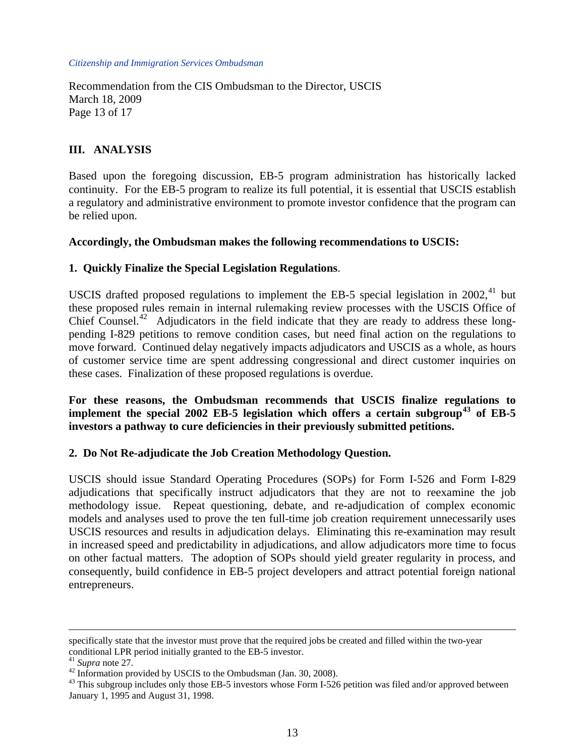Recommendation from the CIS Ombudsman to the Director, USCIS March 18, 2009 Page 13 of 17

# **III. ANALYSIS**

Based upon the foregoing discussion, EB-5 program administration has historically lacked continuity. For the EB-5 program to realize its full potential, it is essential that USCIS establish a regulatory and administrative environment to promote investor confidence that the program can be relied upon.

## **Accordingly, the Ombudsman makes the following recommendations to USCIS:**

## **1. Quickly Finalize the Special Legislation Regulations**.

USCIS drafted proposed regulations to implement the EB-5 special legislation in  $2002$ ,<sup>[41](#page-12-0)</sup> but these proposed rules remain in internal rulemaking review processes with the USCIS Office of Chief Counsel.<sup>[42](#page-12-1)</sup> Adjudicators in the field indicate that they are ready to address these longpending I-829 petitions to remove condition cases, but need final action on the regulations to move forward. Continued delay negatively impacts adjudicators and USCIS as a whole, as hours of customer service time are spent addressing congressional and direct customer inquiries on these cases. Finalization of these proposed regulations is overdue.

**For these reasons, the Ombudsman recommends that USCIS finalize regulations to implement the special 2002 EB-5 legislation which offers a certain subgroup[43](#page-12-2) of EB-5 investors a pathway to cure deficiencies in their previously submitted petitions.** 

## **2. Do Not Re-adjudicate the Job Creation Methodology Question.**

USCIS should issue Standard Operating Procedures (SOPs) for Form I-526 and Form I-829 adjudications that specifically instruct adjudicators that they are not to reexamine the job methodology issue. Repeat questioning, debate, and re-adjudication of complex economic models and analyses used to prove the ten full-time job creation requirement unnecessarily uses USCIS resources and results in adjudication delays. Eliminating this re-examination may result in increased speed and predictability in adjudications, and allow adjudicators more time to focus on other factual matters. The adoption of SOPs should yield greater regularity in process, and consequently, build confidence in EB-5 project developers and attract potential foreign national entrepreneurs.

1

specifically state that the investor must prove that the required jobs be created and filled within the two-year conditional LPR period initially granted to the EB-5 investor.<br><sup>41</sup> Supra note 27.

<span id="page-12-0"></span>

<span id="page-12-1"></span><sup>&</sup>lt;sup>42</sup> Information provided by USCIS to the Ombudsman (Jan. 30, 2008).

<span id="page-12-2"></span> $^{43}$  This subgroup includes only those EB-5 investors whose Form I-526 petition was filed and/or approved between January 1, 1995 and August 31, 1998.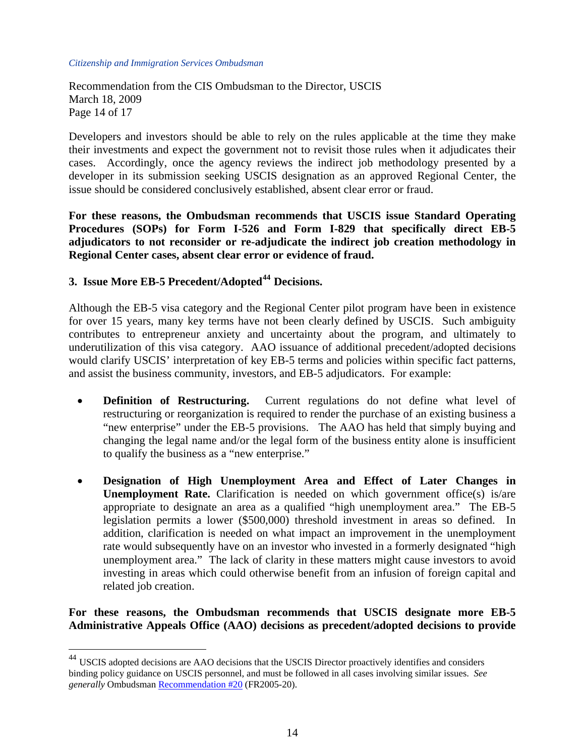Recommendation from the CIS Ombudsman to the Director, USCIS March 18, 2009 Page 14 of 17

Developers and investors should be able to rely on the rules applicable at the time they make their investments and expect the government not to revisit those rules when it adjudicates their cases. Accordingly, once the agency reviews the indirect job methodology presented by a developer in its submission seeking USCIS designation as an approved Regional Center, the issue should be considered conclusively established, absent clear error or fraud.

**For these reasons, the Ombudsman recommends that USCIS issue Standard Operating Procedures (SOPs) for Form I-526 and Form I-829 that specifically direct EB-5 adjudicators to not reconsider or re-adjudicate the indirect job creation methodology in Regional Center cases, absent clear error or evidence of fraud.** 

# **3. Issue More EB-5 Precedent/Adopted[44](#page-13-0) Decisions.**

 $\overline{a}$ 

Although the EB-5 visa category and the Regional Center pilot program have been in existence for over 15 years, many key terms have not been clearly defined by USCIS. Such ambiguity contributes to entrepreneur anxiety and uncertainty about the program, and ultimately to underutilization of this visa category. AAO issuance of additional precedent/adopted decisions would clarify USCIS' interpretation of key EB-5 terms and policies within specific fact patterns, and assist the business community, investors, and EB-5 adjudicators. For example:

- **Definition of Restructuring.** Current regulations do not define what level of restructuring or reorganization is required to render the purchase of an existing business a "new enterprise" under the EB-5 provisions. The AAO has held that simply buying and changing the legal name and/or the legal form of the business entity alone is insufficient to qualify the business as a "new enterprise."
- **Designation of High Unemployment Area and Effect of Later Changes in Unemployment Rate.** Clarification is needed on which government office(s) is/are appropriate to designate an area as a qualified "high unemployment area." The EB-5 legislation permits a lower (\$500,000) threshold investment in areas so defined. In addition, clarification is needed on what impact an improvement in the unemployment rate would subsequently have on an investor who invested in a formerly designated "high unemployment area." The lack of clarity in these matters might cause investors to avoid investing in areas which could otherwise benefit from an infusion of foreign capital and related job creation.

# **For these reasons, the Ombudsman recommends that USCIS designate more EB-5 Administrative Appeals Office (AAO) decisions as precedent/adopted decisions to provide**

<span id="page-13-0"></span><sup>&</sup>lt;sup>44</sup> USCIS adopted decisions are AAO decisions that the USCIS Director proactively identifies and considers binding policy guidance on USCIS personnel, and must be followed in all cases involving similar issues. *See generally* Ombudsman [Recommendation #20](http://www.dhs.gov/xlibrary/assets/CISOmbudsman_RR_20_Administrative_Appeals_12-07-05.pdf) (FR2005-20).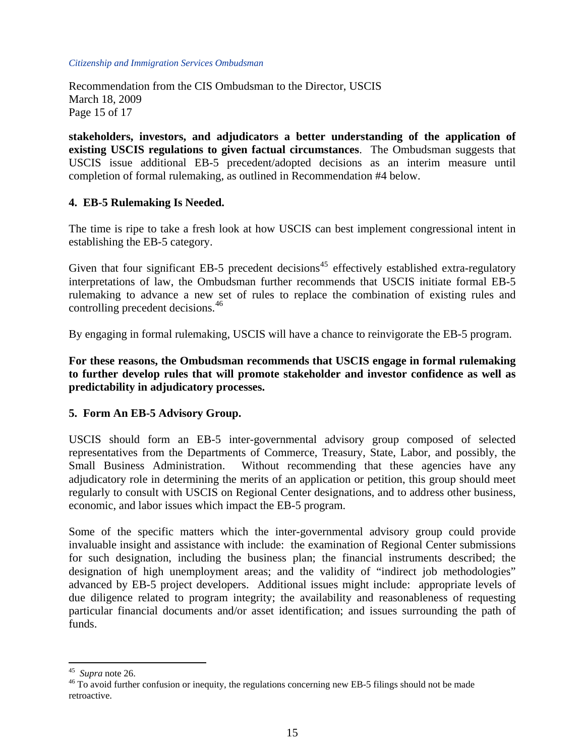Recommendation from the CIS Ombudsman to the Director, USCIS March 18, 2009 Page 15 of 17

**stakeholders, investors, and adjudicators a better understanding of the application of existing USCIS regulations to given factual circumstances**. The Ombudsman suggests that USCIS issue additional EB-5 precedent/adopted decisions as an interim measure until completion of formal rulemaking, as outlined in Recommendation #4 below.

#### **4. EB-5 Rulemaking Is Needed.**

The time is ripe to take a fresh look at how USCIS can best implement congressional intent in establishing the EB-5 category.

Given that four significant EB-5 precedent decisions<sup>[45](#page-14-0)</sup> effectively established extra-regulatory interpretations of law, the Ombudsman further recommends that USCIS initiate formal EB-5 rulemaking to advance a new set of rules to replace the combination of existing rules and controlling precedent decisions.<sup>[46](#page-14-1)</sup>

By engaging in formal rulemaking, USCIS will have a chance to reinvigorate the EB-5 program.

**For these reasons, the Ombudsman recommends that USCIS engage in formal rulemaking to further develop rules that will promote stakeholder and investor confidence as well as predictability in adjudicatory processes.** 

## **5. Form An EB-5 Advisory Group.**

USCIS should form an EB-5 inter-governmental advisory group composed of selected representatives from the Departments of Commerce, Treasury, State, Labor, and possibly, the Small Business Administration. Without recommending that these agencies have any adjudicatory role in determining the merits of an application or petition, this group should meet regularly to consult with USCIS on Regional Center designations, and to address other business, economic, and labor issues which impact the EB-5 program.

Some of the specific matters which the inter-governmental advisory group could provide invaluable insight and assistance with include: the examination of Regional Center submissions for such designation, including the business plan; the financial instruments described; the designation of high unemployment areas; and the validity of "indirect job methodologies" advanced by EB-5 project developers. Additional issues might include: appropriate levels of due diligence related to program integrity; the availability and reasonableness of requesting particular financial documents and/or asset identification; and issues surrounding the path of funds.

<span id="page-14-0"></span> $45$  Supra note 26.

<span id="page-14-1"></span><sup>&</sup>lt;sup>46</sup> To avoid further confusion or inequity, the regulations concerning new EB-5 filings should not be made retroactive.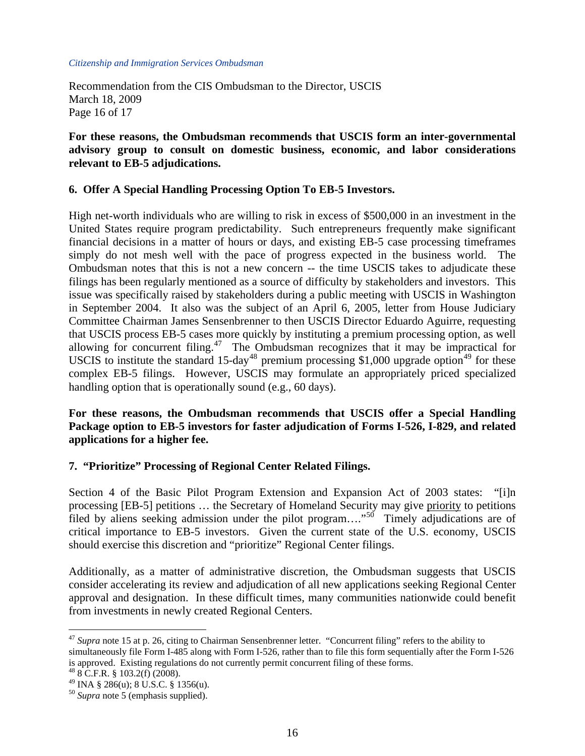Recommendation from the CIS Ombudsman to the Director, USCIS March 18, 2009 Page 16 of 17

**For these reasons, the Ombudsman recommends that USCIS form an inter-governmental advisory group to consult on domestic business, economic, and labor considerations relevant to EB-5 adjudications.** 

## **6. Offer A Special Handling Processing Option To EB-5 Investors.**

High net-worth individuals who are willing to risk in excess of \$500,000 in an investment in the United States require program predictability. Such entrepreneurs frequently make significant financial decisions in a matter of hours or days, and existing EB-5 case processing timeframes simply do not mesh well with the pace of progress expected in the business world. The Ombudsman notes that this is not a new concern -- the time USCIS takes to adjudicate these filings has been regularly mentioned as a source of difficulty by stakeholders and investors. This issue was specifically raised by stakeholders during a public meeting with USCIS in Washington in September 2004. It also was the subject of an April 6, 2005, letter from House Judiciary Committee Chairman James Sensenbrenner to then USCIS Director Eduardo Aguirre, requesting that USCIS process EB-5 cases more quickly by instituting a premium processing option, as well allowing for concurrent filing.<sup>[47](#page-15-0)</sup> The Ombudsman recognizes that it may be impractical for USCIS to institute the standard 15-day<sup>[48](#page-15-1)</sup> premium processing \$1,000 upgrade option<sup>[49](#page-15-2)</sup> for these complex EB-5 filings. However, USCIS may formulate an appropriately priced specialized handling option that is operationally sound (e.g., 60 days).

## **For these reasons, the Ombudsman recommends that USCIS offer a Special Handling Package option to EB-5 investors for faster adjudication of Forms I-526, I-829, and related applications for a higher fee.**

## **7. "Prioritize" Processing of Regional Center Related Filings.**

Section 4 of the Basic Pilot Program Extension and Expansion Act of 2003 states: "[i]n processing [EB-5] petitions … the Secretary of Homeland Security may give priority to petitions filed by aliens seeking admission under the pilot program...."<sup>[50](#page-15-3)</sup> Timely adjudications are of critical importance to EB-5 investors. Given the current state of the U.S. economy, USCIS should exercise this discretion and "prioritize" Regional Center filings.

Additionally, as a matter of administrative discretion, the Ombudsman suggests that USCIS consider accelerating its review and adjudication of all new applications seeking Regional Center approval and designation. In these difficult times, many communities nationwide could benefit from investments in newly created Regional Centers.

<span id="page-15-0"></span><sup>&</sup>lt;sup>47</sup> Supra note 15 at p. 26, citing to Chairman Sensenbrenner letter. "Concurrent filing" refers to the ability to simultaneously file Form I-485 along with Form I-526, rather than to file this form sequentially after the Form I-526 is approved. Existing regulations do not currently permit concurrent filing of these forms.

<span id="page-15-1"></span> $48$  8 C.F.R. § 103.2(f) (2008).

<span id="page-15-2"></span> $^{49}$  INA § 286(u); 8 U.S.C. § 1356(u).

<span id="page-15-3"></span><sup>50</sup> *Supra* note 5 (emphasis supplied).